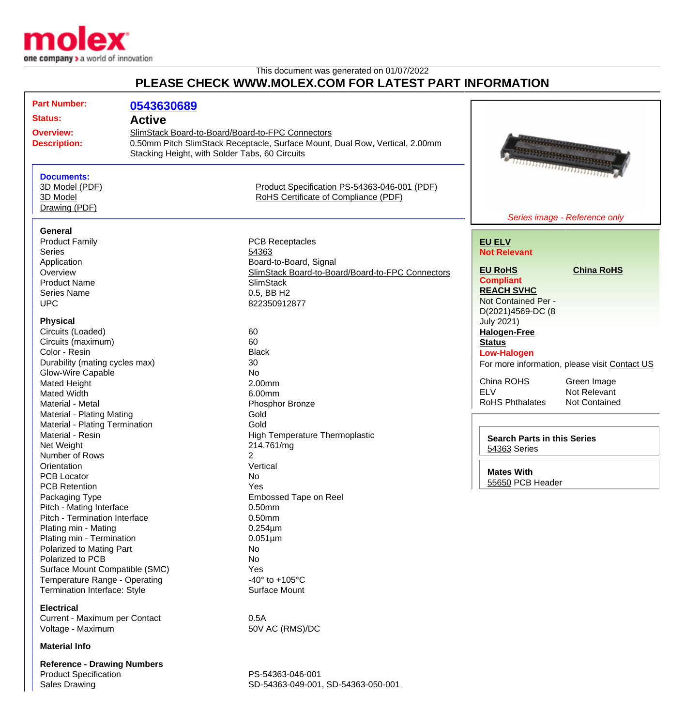

This document was generated on 01/07/2022

## **PLEASE CHECK WWW.MOLEX.COM FOR LATEST PART INFORMATION**

| <b>Part Number:</b>                                                                                                                                                                                                                                 | 0543630689    |                                                                                                                                                                                    |                                                                                    |                                                                                                                                                                                                                                                                                                                                                                                      |
|-----------------------------------------------------------------------------------------------------------------------------------------------------------------------------------------------------------------------------------------------------|---------------|------------------------------------------------------------------------------------------------------------------------------------------------------------------------------------|------------------------------------------------------------------------------------|--------------------------------------------------------------------------------------------------------------------------------------------------------------------------------------------------------------------------------------------------------------------------------------------------------------------------------------------------------------------------------------|
| <b>Status:</b>                                                                                                                                                                                                                                      | <b>Active</b> |                                                                                                                                                                                    |                                                                                    |                                                                                                                                                                                                                                                                                                                                                                                      |
| <b>Overview:</b><br><b>Description:</b>                                                                                                                                                                                                             |               | SlimStack Board-to-Board/Board-to-FPC Connectors<br>0.50mm Pitch SlimStack Receptacle, Surface Mount, Dual Row, Vertical, 2.00mm<br>Stacking Height, with Solder Tabs, 60 Circuits |                                                                                    | a de la composición de la composición de la composición de la composición de la composición de la composición<br><b>BERNSHAMMEN BERNSHAM</b><br><u> ANDERS ANDERS AND ANN AN DESCRIPTION OF A DISCONDITION OF A DISCONDITION OF A DISCONDITION OF A DISCONDITION OF A DISCONDITION OF A DISCONDITION OF A DISCONDITION OF A DISCONDITION OF A DISCONDITION OF A DISCONDITION OF </u> |
| <b>Documents:</b><br>3D Model (PDF)<br>3D Model<br>Drawing (PDF)                                                                                                                                                                                    |               | Product Specification PS-54363-046-001 (PDF)<br>RoHS Certificate of Compliance (PDF)                                                                                               |                                                                                    | Series image - Reference only                                                                                                                                                                                                                                                                                                                                                        |
| <b>General</b>                                                                                                                                                                                                                                      |               |                                                                                                                                                                                    |                                                                                    |                                                                                                                                                                                                                                                                                                                                                                                      |
| <b>Product Family</b><br><b>Series</b><br>Application<br>Overview<br><b>Product Name</b>                                                                                                                                                            |               | <b>PCB Receptacles</b><br>54363<br>Board-to-Board, Signal<br>SlimStack Board-to-Board/Board-to-FPC Connectors<br><b>SlimStack</b>                                                  | <b>EU ELV</b><br><b>Not Relevant</b><br><b>EU RoHS</b><br><b>Compliant</b>         | <b>China RoHS</b>                                                                                                                                                                                                                                                                                                                                                                    |
| <b>Series Name</b><br><b>UPC</b><br><b>Physical</b>                                                                                                                                                                                                 |               | 0.5, BB H2<br>822350912877                                                                                                                                                         | <b>REACH SVHC</b><br>Not Contained Per -<br>D(2021)4569-DC (8<br><b>July 2021)</b> |                                                                                                                                                                                                                                                                                                                                                                                      |
| Circuits (Loaded)<br>Circuits (maximum)<br>Color - Resin<br>Durability (mating cycles max)                                                                                                                                                          |               | 60<br>60<br><b>Black</b><br>30                                                                                                                                                     | <b>Halogen-Free</b><br><b>Status</b><br><b>Low-Halogen</b>                         | For more information, please visit Contact US                                                                                                                                                                                                                                                                                                                                        |
| Glow-Wire Capable<br>Mated Height<br>Mated Width<br>Material - Metal<br><b>Material - Plating Mating</b>                                                                                                                                            |               | <b>No</b><br>2.00mm<br>6.00mm<br>Phosphor Bronze<br>Gold                                                                                                                           | China ROHS<br><b>ELV</b><br><b>RoHS Phthalates</b>                                 | Green Image<br>Not Relevant<br>Not Contained                                                                                                                                                                                                                                                                                                                                         |
| Material - Plating Termination<br>Material - Resin<br>Net Weight<br>Number of Rows                                                                                                                                                                  |               | Gold<br>High Temperature Thermoplastic<br>214.761/mg<br>$\overline{2}$                                                                                                             | <b>Search Parts in this Series</b><br>54363 Series                                 |                                                                                                                                                                                                                                                                                                                                                                                      |
| Orientation<br><b>PCB Locator</b><br><b>PCB Retention</b>                                                                                                                                                                                           |               | Vertical<br>No<br>Yes                                                                                                                                                              | <b>Mates With</b><br>55650 PCB Header                                              |                                                                                                                                                                                                                                                                                                                                                                                      |
| Packaging Type<br>Pitch - Mating Interface<br>Pitch - Termination Interface<br>Plating min - Mating<br>Plating min - Termination<br>Polarized to Mating Part<br>Polarized to PCB<br>Surface Mount Compatible (SMC)<br>Temperature Range - Operating |               | Embossed Tape on Reel<br>0.50mm<br>0.50mm<br>$0.254 \mu m$<br>$0.051 \mu m$<br>No<br>No<br>Yes<br>-40 $\degree$ to +105 $\degree$ C                                                |                                                                                    |                                                                                                                                                                                                                                                                                                                                                                                      |
| Termination Interface: Style<br><b>Electrical</b><br>Current - Maximum per Contact<br>Voltage - Maximum<br><b>Material Info</b>                                                                                                                     |               | Surface Mount<br>0.5A<br>50V AC (RMS)/DC                                                                                                                                           |                                                                                    |                                                                                                                                                                                                                                                                                                                                                                                      |
| <b>Reference - Drawing Numbers</b>                                                                                                                                                                                                                  |               |                                                                                                                                                                                    |                                                                                    |                                                                                                                                                                                                                                                                                                                                                                                      |

**Reference - Drawing Numbers** Product Specification **PS-54363-046-001** 

Sales Drawing Sales Drawing SD-54363-049-001, SD-54363-050-001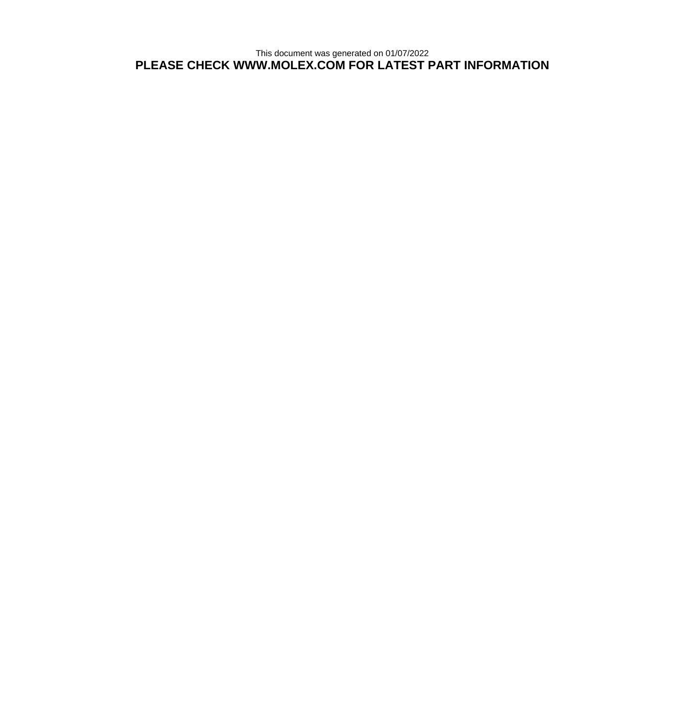This document was generated on 01/07/2022 **PLEASE CHECK WWW.MOLEX.COM FOR LATEST PART INFORMATION**